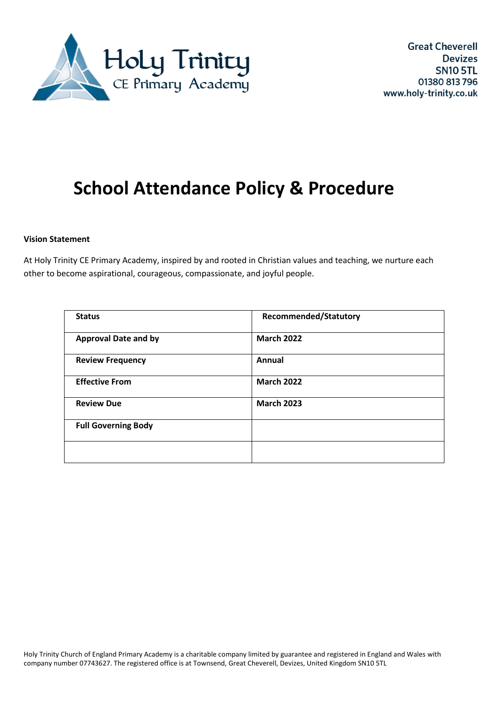

# **School Attendance Policy & Procedure**

#### **Vision Statement**

At Holy Trinity CE Primary Academy, inspired by and rooted in Christian values and teaching, we nurture each other to become aspirational, courageous, compassionate, and joyful people.

| <b>Status</b>               | <b>Recommended/Statutory</b> |
|-----------------------------|------------------------------|
| <b>Approval Date and by</b> | <b>March 2022</b>            |
| <b>Review Frequency</b>     | Annual                       |
| <b>Effective From</b>       | <b>March 2022</b>            |
| <b>Review Due</b>           | <b>March 2023</b>            |
| <b>Full Governing Body</b>  |                              |
|                             |                              |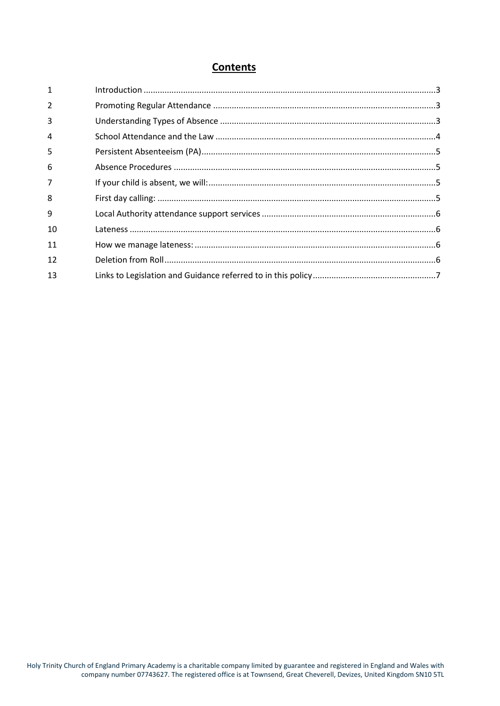# **Contents**

| $\mathbf{1}$   |  |
|----------------|--|
| 2              |  |
| 3              |  |
| 4              |  |
| 5              |  |
| 6              |  |
| $\overline{7}$ |  |
| 8              |  |
| 9              |  |
| 10             |  |
| 11             |  |
| 12             |  |
| 13             |  |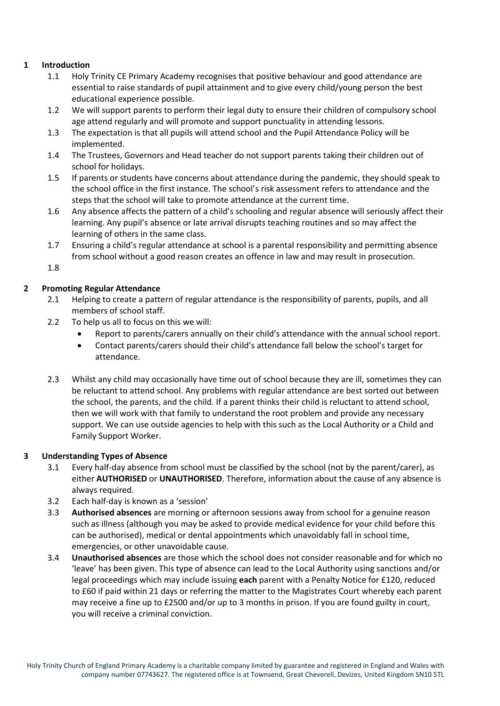# <span id="page-2-0"></span>**1 Introduction**

- 1.1 Holy Trinity CE Primary Academy recognises that positive behaviour and good attendance are essential to raise standards of pupil attainment and to give every child/young person the best educational experience possible.
- 1.2 We will support parents to perform their legal duty to ensure their children of compulsory school age attend regularly and will promote and support punctuality in attending lessons.
- 1.3 The expectation is that all pupils will attend school and the Pupil Attendance Policy will be implemented.
- 1.4 The Trustees, Governors and Head teacher do not support parents taking their children out of school for holidays.
- 1.5 If parents or students have concerns about attendance during the pandemic, they should speak to the school office in the first instance. The school's risk assessment refers to attendance and the steps that the school will take to promote attendance at the current time.
- 1.6 Any absence affects the pattern of a child's schooling and regular absence will seriously affect their learning. Any pupil's absence or late arrival disrupts teaching routines and so may affect the learning of others in the same class.
- 1.7 Ensuring a child's regular attendance at school is a parental responsibility and permitting absence from school without a good reason creates an offence in law and may result in prosecution.

1.8

# <span id="page-2-1"></span>**2 Promoting Regular Attendance**

- 2.1 Helping to create a pattern of regular attendance is the responsibility of parents, pupils, and all members of school staff.
- 2.2 To help us all to focus on this we will:
	- Report to parents/carers annually on their child's attendance with the annual school report.
	- Contact parents/carers should their child's attendance fall below the school's target for attendance.
- 2.3 Whilst any child may occasionally have time out of school because they are ill, sometimes they can be reluctant to attend school. Any problems with regular attendance are best sorted out between the school, the parents, and the child. If a parent thinks their child is reluctant to attend school, then we will work with that family to understand the root problem and provide any necessary support. We can use outside agencies to help with this such as the Local Authority or a Child and Family Support Worker.

# <span id="page-2-2"></span>**3 Understanding Types of Absence**

- 3.1 Every half-day absence from school must be classified by the school (not by the parent/carer), as either **AUTHORISED** or **UNAUTHORISED**. Therefore, information about the cause of any absence is always required.
- 3.2 Each half-day is known as a 'session'
- 3.3 **Authorised absences** are morning or afternoon sessions away from school for a genuine reason such as illness (although you may be asked to provide medical evidence for your child before this can be authorised), medical or dental appointments which unavoidably fall in school time, emergencies, or other unavoidable cause.
- 3.4 **Unauthorised absences** are those which the school does not consider reasonable and for which no 'leave' has been given. This type of absence can lead to the Local Authority using sanctions and/or legal proceedings which may include issuing **each** parent with a Penalty Notice for £120, reduced to £60 if paid within 21 days or referring the matter to the Magistrates Court whereby each parent may receive a fine up to £2500 and/or up to 3 months in prison. If you are found guilty in court, you will receive a criminal conviction.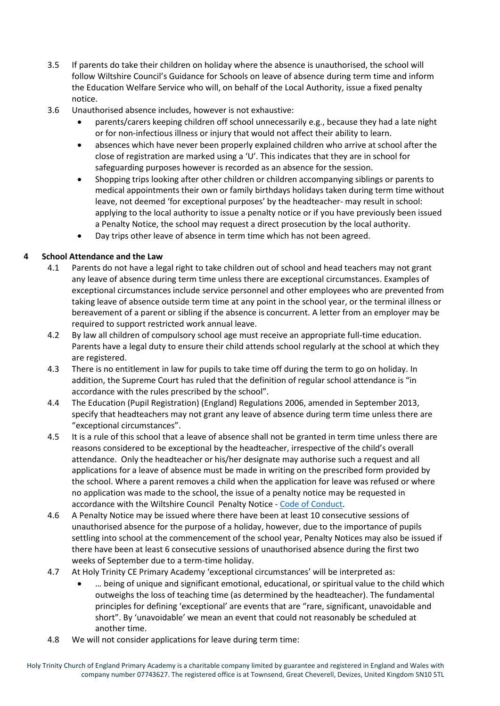- 3.5 If parents do take their children on holiday where the absence is unauthorised, the school will follow Wiltshire Council's Guidance for Schools on leave of absence during term time and inform the Education Welfare Service who will, on behalf of the Local Authority, issue a fixed penalty notice.
- 3.6 Unauthorised absence includes, however is not exhaustive:
	- parents/carers keeping children off school unnecessarily e.g., because they had a late night or for non-infectious illness or injury that would not affect their ability to learn.
	- absences which have never been properly explained children who arrive at school after the close of registration are marked using a 'U'. This indicates that they are in school for safeguarding purposes however is recorded as an absence for the session.
	- Shopping trips looking after other children or children accompanying siblings or parents to medical appointments their own or family birthdays holidays taken during term time without leave, not deemed 'for exceptional purposes' by the headteacher- may result in school: applying to the local authority to issue a penalty notice or if you have previously been issued a Penalty Notice, the school may request a direct prosecution by the local authority.
	- Day trips other leave of absence in term time which has not been agreed.

# <span id="page-3-0"></span>**4 School Attendance and the Law**

- 4.1 Parents do not have a legal right to take children out of school and head teachers may not grant any leave of absence during term time unless there are exceptional circumstances. Examples of exceptional circumstances include service personnel and other employees who are prevented from taking leave of absence outside term time at any point in the school year, or the terminal illness or bereavement of a parent or sibling if the absence is concurrent. A letter from an employer may be required to support restricted work annual leave.
- 4.2 By law all children of compulsory school age must receive an appropriate full-time education. Parents have a legal duty to ensure their child attends school regularly at the school at which they are registered.
- 4.3 There is no entitlement in law for pupils to take time off during the term to go on holiday. In addition, the Supreme Court has ruled that the definition of regular school attendance is "in accordance with the rules prescribed by the school".
- 4.4 The Education (Pupil Registration) (England) Regulations 2006, amended in September 2013, specify that headteachers may not grant any leave of absence during term time unless there are "exceptional circumstances".
- 4.5 It is a rule of this school that a leave of absence shall not be granted in term time unless there are reasons considered to be exceptional by the headteacher, irrespective of the child's overall attendance. Only the headteacher or his/her designate may authorise such a request and all applications for a leave of absence must be made in writing on the prescribed form provided by the school. Where a parent removes a child when the application for leave was refused or where no application was made to the school, the issue of a penalty notice may be requested in accordance with the Wiltshire Council Penalty Notice - [Code of Conduct.](https://www.wiltshire.gov.uk/media/3307/Penalty-notice-code-of-conduct-March-2020/pdf/Penalty_Notice_Code_of_Conduct_-March_2020.pdf?m=637588340594300000)
- 4.6 A Penalty Notice may be issued where there have been at least 10 consecutive sessions of unauthorised absence for the purpose of a holiday, however, due to the importance of pupils settling into school at the commencement of the school year, Penalty Notices may also be issued if there have been at least 6 consecutive sessions of unauthorised absence during the first two weeks of September due to a term-time holiday.
- 4.7 At Holy Trinity CE Primary Academy 'exceptional circumstances' will be interpreted as:
	- … being of unique and significant emotional, educational, or spiritual value to the child which outweighs the loss of teaching time (as determined by the headteacher). The fundamental principles for defining 'exceptional' are events that are "rare, significant, unavoidable and short". By 'unavoidable' we mean an event that could not reasonably be scheduled at another time.
- 4.8 We will not consider applications for leave during term time: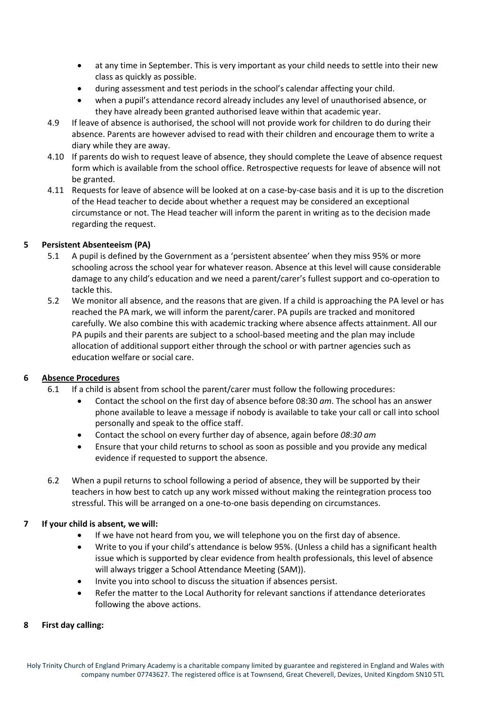- at any time in September. This is very important as your child needs to settle into their new class as quickly as possible.
- during assessment and test periods in the school's calendar affecting your child.
- when a pupil's attendance record already includes any level of unauthorised absence, or they have already been granted authorised leave within that academic year.
- 4.9 If leave of absence is authorised, the school will not provide work for children to do during their absence. Parents are however advised to read with their children and encourage them to write a diary while they are away.
- 4.10 If parents do wish to request leave of absence, they should complete the Leave of absence request form which is available from the school office. Retrospective requests for leave of absence will not be granted.
- 4.11 Requests for leave of absence will be looked at on a case-by-case basis and it is up to the discretion of the Head teacher to decide about whether a request may be considered an exceptional circumstance or not. The Head teacher will inform the parent in writing as to the decision made regarding the request.

# <span id="page-4-0"></span>**5 Persistent Absenteeism (PA)**

- 5.1 A pupil is defined by the Government as a 'persistent absentee' when they miss 95% or more schooling across the school year for whatever reason. Absence at this level will cause considerable damage to any child's education and we need a parent/carer's fullest support and co-operation to tackle this.
- 5.2 We monitor all absence, and the reasons that are given. If a child is approaching the PA level or has reached the PA mark, we will inform the parent/carer. PA pupils are tracked and monitored carefully. We also combine this with academic tracking where absence affects attainment. All our PA pupils and their parents are subject to a school-based meeting and the plan may include allocation of additional support either through the school or with partner agencies such as education welfare or social care.

# <span id="page-4-1"></span>**6 Absence Procedures**

- 6.1 If a child is absent from school the parent/carer must follow the following procedures:
	- Contact the school on the first day of absence before 08:30 *am*. The school has an answer phone available to leave a message if nobody is available to take your call or call into school personally and speak to the office staff.
	- Contact the school on every further day of absence, again before *08:30 am*
	- Ensure that your child returns to school as soon as possible and you provide any medical evidence if requested to support the absence.
- 6.2 When a pupil returns to school following a period of absence, they will be supported by their teachers in how best to catch up any work missed without making the reintegration process too stressful. This will be arranged on a one-to-one basis depending on circumstances.

# <span id="page-4-2"></span>**7 If your child is absent, we will:**

- If we have not heard from you, we will telephone you on the first day of absence.
- Write to you if your child's attendance is below 95%. (Unless a child has a significant health issue which is supported by clear evidence from health professionals, this level of absence will always trigger a School Attendance Meeting (SAM)).
- Invite you into school to discuss the situation if absences persist.
- Refer the matter to the Local Authority for relevant sanctions if attendance deteriorates following the above actions.

# <span id="page-4-3"></span>**8 First day calling:**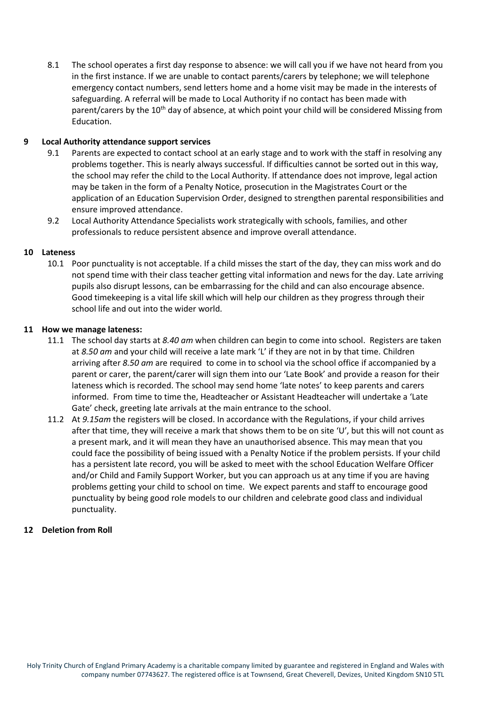8.1 The school operates a first day response to absence: we will call you if we have not heard from you in the first instance. If we are unable to contact parents/carers by telephone; we will telephone emergency contact numbers, send letters home and a home visit may be made in the interests of safeguarding. A referral will be made to Local Authority if no contact has been made with parent/carers by the  $10<sup>th</sup>$  day of absence, at which point your child will be considered Missing from Education.

#### <span id="page-5-0"></span>**9 Local Authority attendance support services**

- 9.1 Parents are expected to contact school at an early stage and to work with the staff in resolving any problems together. This is nearly always successful. If difficulties cannot be sorted out in this way, the school may refer the child to the Local Authority. If attendance does not improve, legal action may be taken in the form of a Penalty Notice, prosecution in the Magistrates Court or the application of an Education Supervision Order, designed to strengthen parental responsibilities and ensure improved attendance.
- 9.2 Local Authority Attendance Specialists work strategically with schools, families, and other professionals to reduce persistent absence and improve overall attendance.

#### <span id="page-5-1"></span>**10 Lateness**

10.1 Poor punctuality is not acceptable. If a child misses the start of the day, they can miss work and do not spend time with their class teacher getting vital information and news for the day. Late arriving pupils also disrupt lessons, can be embarrassing for the child and can also encourage absence. Good timekeeping is a vital life skill which will help our children as they progress through their school life and out into the wider world.

#### <span id="page-5-2"></span>**11 How we manage lateness:**

- 11.1 The school day starts at *8.40 am* when children can begin to come into school. Registers are taken at *8.50 am* and your child will receive a late mark 'L' if they are not in by that time. Children arriving after *8.50 am* are required to come in to school via the school office if accompanied by a parent or carer, the parent/carer will sign them into our 'Late Book' and provide a reason for their lateness which is recorded. The school may send home 'late notes' to keep parents and carers informed. From time to time the, Headteacher or Assistant Headteacher will undertake a 'Late Gate' check, greeting late arrivals at the main entrance to the school.
- 11.2 At *9.15am* the registers will be closed. In accordance with the Regulations, if your child arrives after that time, they will receive a mark that shows them to be on site 'U', but this will not count as a present mark, and it will mean they have an unauthorised absence. This may mean that you could face the possibility of being issued with a Penalty Notice if the problem persists. If your child has a persistent late record, you will be asked to meet with the school Education Welfare Officer and/or Child and Family Support Worker, but you can approach us at any time if you are having problems getting your child to school on time. We expect parents and staff to encourage good punctuality by being good role models to our children and celebrate good class and individual punctuality.

# <span id="page-5-3"></span>**12 Deletion from Roll**